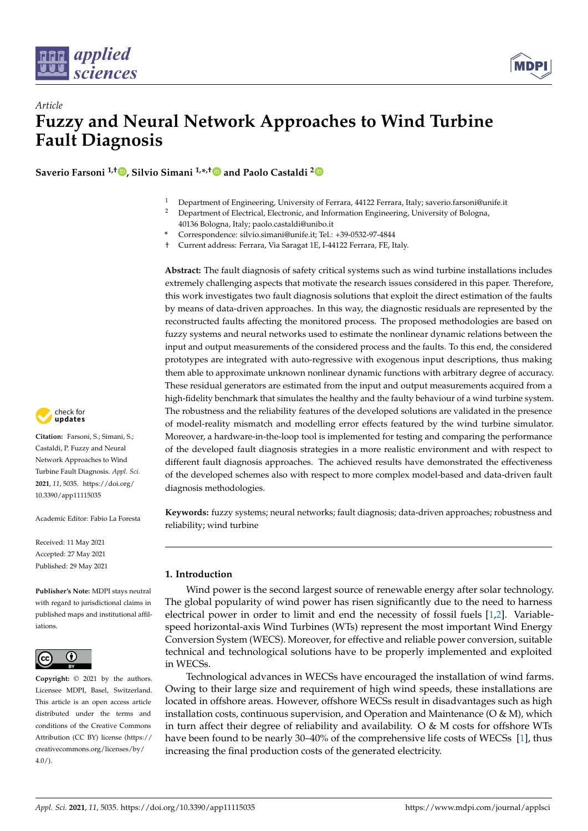

*Article*



# **Fuzzy and Neural Network Approaches to Wind Turbine Fault Diagnosis**

**Saverio Farsoni 1,† [,](https://orcid.org/0000-0003-3480-1351) Silvio Simani 1,\* ,[†](https://orcid.org/0000-0003-1815-2478) and Paolo Castaldi [2](https://orcid.org/0000-0001-5754-5616)**

- <sup>1</sup> Department of Engineering, University of Ferrara, 44122 Ferrara, Italy; saverio.farsoni@unife.it<br><sup>2</sup> Department of Electrical Electronic and Information Engineering University of Belgema
- <sup>2</sup> Department of Electrical, Electronic, and Information Engineering, University of Bologna, 40136 Bologna, Italy; paolo.castaldi@unibo.it
- **\*** Correspondence: silvio.simani@unife.it; Tel.: +39-0532-97-4844
- † Current address: Ferrara, Via Saragat 1E, I-44122 Ferrara, FE, Italy.

**Abstract:** The fault diagnosis of safety critical systems such as wind turbine installations includes extremely challenging aspects that motivate the research issues considered in this paper. Therefore, this work investigates two fault diagnosis solutions that exploit the direct estimation of the faults by means of data-driven approaches. In this way, the diagnostic residuals are represented by the reconstructed faults affecting the monitored process. The proposed methodologies are based on fuzzy systems and neural networks used to estimate the nonlinear dynamic relations between the input and output measurements of the considered process and the faults. To this end, the considered prototypes are integrated with auto-regressive with exogenous input descriptions, thus making them able to approximate unknown nonlinear dynamic functions with arbitrary degree of accuracy. These residual generators are estimated from the input and output measurements acquired from a high-fidelity benchmark that simulates the healthy and the faulty behaviour of a wind turbine system. The robustness and the reliability features of the developed solutions are validated in the presence of model-reality mismatch and modelling error effects featured by the wind turbine simulator. Moreover, a hardware-in-the-loop tool is implemented for testing and comparing the performance of the developed fault diagnosis strategies in a more realistic environment and with respect to different fault diagnosis approaches. The achieved results have demonstrated the effectiveness of the developed schemes also with respect to more complex model-based and data-driven fault diagnosis methodologies.

**Keywords:** fuzzy systems; neural networks; fault diagnosis; data-driven approaches; robustness and reliability; wind turbine

## **1. Introduction**

Wind power is the second largest source of renewable energy after solar technology. The global popularity of wind power has risen significantly due to the need to harness electrical power in order to limit and end the necessity of fossil fuels [\[1,](#page-19-0)[2\]](#page-19-1). Variablespeed horizontal-axis Wind Turbines (WTs) represent the most important Wind Energy Conversion System (WECS). Moreover, for effective and reliable power conversion, suitable technical and technological solutions have to be properly implemented and exploited in WECSs.

Technological advances in WECSs have encouraged the installation of wind farms. Owing to their large size and requirement of high wind speeds, these installations are located in offshore areas. However, offshore WECSs result in disadvantages such as high installation costs, continuous supervision, and Operation and Maintenance ( $O \& M$ ), which in turn affect their degree of reliability and availability. O  $\&$  M costs for offshore WTs have been found to be nearly 30–40% of the comprehensive life costs of WECSs [\[1\]](#page-19-0), thus increasing the final production costs of the generated electricity.



**Citation:** Farsoni, S.; Simani, S.; Castaldi, P. Fuzzy and Neural Network Approaches to Wind Turbine Fault Diagnosis. *Appl. Sci.* **2021**, *11*, 5035. [https://doi.org/](https://doi.org/10.3390/app11115035) [10.3390/app11115035](https://doi.org/10.3390/app11115035)

Academic Editor: Fabio La Foresta

Received: 11 May 2021 Accepted: 27 May 2021 Published: 29 May 2021

**Publisher's Note:** MDPI stays neutral with regard to jurisdictional claims in published maps and institutional affiliations.



**Copyright:** © 2021 by the authors. Licensee MDPI, Basel, Switzerland. This article is an open access article distributed under the terms and conditions of the Creative Commons Attribution (CC BY) license (https:/[/](https://creativecommons.org/licenses/by/4.0/) [creativecommons.org/licenses/by/](https://creativecommons.org/licenses/by/4.0/)  $4.0/$ ).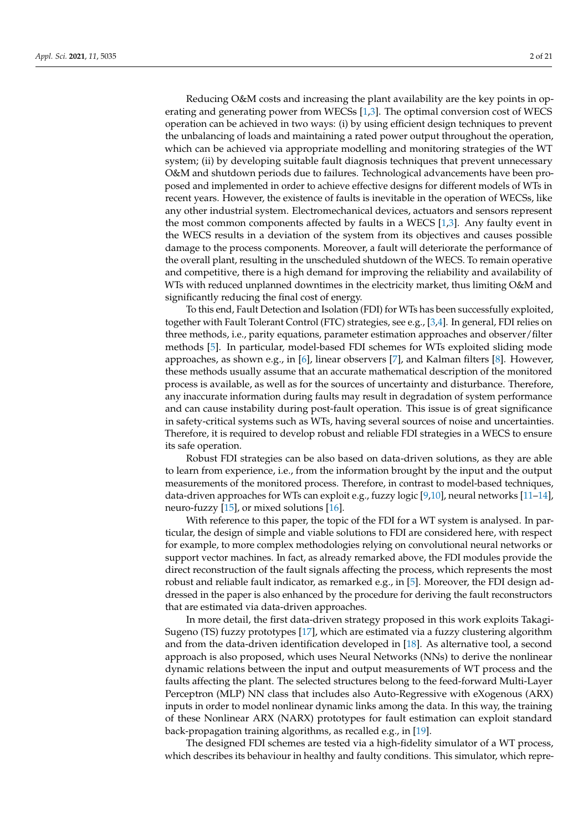Reducing O&M costs and increasing the plant availability are the key points in operating and generating power from WECSs [\[1,](#page-19-0)[3\]](#page-19-2). The optimal conversion cost of WECS operation can be achieved in two ways: (i) by using efficient design techniques to prevent the unbalancing of loads and maintaining a rated power output throughout the operation, which can be achieved via appropriate modelling and monitoring strategies of the WT system; (ii) by developing suitable fault diagnosis techniques that prevent unnecessary O&M and shutdown periods due to failures. Technological advancements have been proposed and implemented in order to achieve effective designs for different models of WTs in recent years. However, the existence of faults is inevitable in the operation of WECSs, like any other industrial system. Electromechanical devices, actuators and sensors represent the most common components affected by faults in a WECS [\[1,](#page-19-0)[3\]](#page-19-2). Any faulty event in the WECS results in a deviation of the system from its objectives and causes possible damage to the process components. Moreover, a fault will deteriorate the performance of the overall plant, resulting in the unscheduled shutdown of the WECS. To remain operative and competitive, there is a high demand for improving the reliability and availability of WTs with reduced unplanned downtimes in the electricity market, thus limiting O&M and significantly reducing the final cost of energy.

To this end, Fault Detection and Isolation (FDI) for WTs has been successfully exploited, together with Fault Tolerant Control (FTC) strategies, see e.g., [\[3](#page-19-2)[,4\]](#page-19-3). In general, FDI relies on three methods, i.e., parity equations, parameter estimation approaches and observer/filter methods [\[5\]](#page-19-4). In particular, model-based FDI schemes for WTs exploited sliding mode approaches, as shown e.g., in [\[6\]](#page-19-5), linear observers [\[7\]](#page-19-6), and Kalman filters [\[8\]](#page-19-7). However, these methods usually assume that an accurate mathematical description of the monitored process is available, as well as for the sources of uncertainty and disturbance. Therefore, any inaccurate information during faults may result in degradation of system performance and can cause instability during post-fault operation. This issue is of great significance in safety-critical systems such as WTs, having several sources of noise and uncertainties. Therefore, it is required to develop robust and reliable FDI strategies in a WECS to ensure its safe operation.

Robust FDI strategies can be also based on data-driven solutions, as they are able to learn from experience, i.e., from the information brought by the input and the output measurements of the monitored process. Therefore, in contrast to model-based techniques, data-driven approaches for WTs can exploit e.g., fuzzy logic [\[9](#page-19-8)[,10\]](#page-19-9), neural networks [\[11–](#page-19-10)[14\]](#page-19-11), neuro-fuzzy [\[15\]](#page-19-12), or mixed solutions [\[16\]](#page-19-13).

With reference to this paper, the topic of the FDI for a WT system is analysed. In particular, the design of simple and viable solutions to FDI are considered here, with respect for example, to more complex methodologies relying on convolutional neural networks or support vector machines. In fact, as already remarked above, the FDI modules provide the direct reconstruction of the fault signals affecting the process, which represents the most robust and reliable fault indicator, as remarked e.g., in [\[5\]](#page-19-4). Moreover, the FDI design addressed in the paper is also enhanced by the procedure for deriving the fault reconstructors that are estimated via data-driven approaches.

In more detail, the first data-driven strategy proposed in this work exploits Takagi-Sugeno (TS) fuzzy prototypes [\[17\]](#page-20-0), which are estimated via a fuzzy clustering algorithm and from the data-driven identification developed in [\[18\]](#page-20-1). As alternative tool, a second approach is also proposed, which uses Neural Networks (NNs) to derive the nonlinear dynamic relations between the input and output measurements of WT process and the faults affecting the plant. The selected structures belong to the feed-forward Multi-Layer Perceptron (MLP) NN class that includes also Auto-Regressive with eXogenous (ARX) inputs in order to model nonlinear dynamic links among the data. In this way, the training of these Nonlinear ARX (NARX) prototypes for fault estimation can exploit standard back-propagation training algorithms, as recalled e.g., in [\[19\]](#page-20-2).

The designed FDI schemes are tested via a high-fidelity simulator of a WT process, which describes its behaviour in healthy and faulty conditions. This simulator, which repre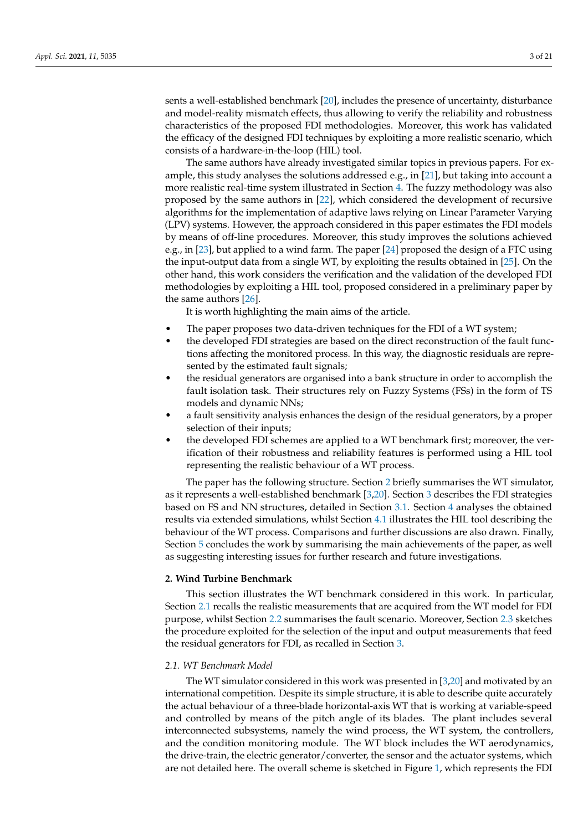sents a well-established benchmark [\[20\]](#page-20-3), includes the presence of uncertainty, disturbance and model-reality mismatch effects, thus allowing to verify the reliability and robustness characteristics of the proposed FDI methodologies. Moreover, this work has validated the efficacy of the designed FDI techniques by exploiting a more realistic scenario, which consists of a hardware-in-the-loop (HIL) tool.

The same authors have already investigated similar topics in previous papers. For example, this study analyses the solutions addressed e.g., in [\[21\]](#page-20-4), but taking into account a more realistic real-time system illustrated in Section [4.](#page-10-0) The fuzzy methodology was also proposed by the same authors in [\[22\]](#page-20-5), which considered the development of recursive algorithms for the implementation of adaptive laws relying on Linear Parameter Varying (LPV) systems. However, the approach considered in this paper estimates the FDI models by means of off-line procedures. Moreover, this study improves the solutions achieved e.g., in [\[23\]](#page-20-6), but applied to a wind farm. The paper [\[24\]](#page-20-7) proposed the design of a FTC using the input-output data from a single WT, by exploiting the results obtained in [\[25\]](#page-20-8). On the other hand, this work considers the verification and the validation of the developed FDI methodologies by exploiting a HIL tool, proposed considered in a preliminary paper by the same authors [\[26\]](#page-20-9).

It is worth highlighting the main aims of the article.

- The paper proposes two data-driven techniques for the FDI of a WT system;
- the developed FDI strategies are based on the direct reconstruction of the fault functions affecting the monitored process. In this way, the diagnostic residuals are represented by the estimated fault signals;
- the residual generators are organised into a bank structure in order to accomplish the fault isolation task. Their structures rely on Fuzzy Systems (FSs) in the form of TS models and dynamic NNs;
- a fault sensitivity analysis enhances the design of the residual generators, by a proper selection of their inputs;
- the developed FDI schemes are applied to a WT benchmark first; moreover, the verification of their robustness and reliability features is performed using a HIL tool representing the realistic behaviour of a WT process.

The paper has the following structure. Section [2](#page-2-0) briefly summarises the WT simulator, as it represents a well-established benchmark [\[3](#page-19-2)[,20\]](#page-20-3). Section [3](#page-6-0) describes the FDI strategies based on FS and NN structures, detailed in Section [3.1.](#page-7-0) Section [4](#page-10-0) analyses the obtained results via extended simulations, whilst Section [4.1](#page-12-0) illustrates the HIL tool describing the behaviour of the WT process. Comparisons and further discussions are also drawn. Finally, Section [5](#page-18-0) concludes the work by summarising the main achievements of the paper, as well as suggesting interesting issues for further research and future investigations.

## <span id="page-2-0"></span>**2. Wind Turbine Benchmark**

This section illustrates the WT benchmark considered in this work. In particular, Section [2.1](#page-2-1) recalls the realistic measurements that are acquired from the WT model for FDI purpose, whilst Section [2.2](#page-4-0) summarises the fault scenario. Moreover, Section [2.3](#page-4-1) sketches the procedure exploited for the selection of the input and output measurements that feed the residual generators for FDI, as recalled in Section [3.](#page-6-0)

## <span id="page-2-1"></span>*2.1. WT Benchmark Model*

The WT simulator considered in this work was presented in [\[3](#page-19-2)[,20\]](#page-20-3) and motivated by an international competition. Despite its simple structure, it is able to describe quite accurately the actual behaviour of a three-blade horizontal-axis WT that is working at variable-speed and controlled by means of the pitch angle of its blades. The plant includes several interconnected subsystems, namely the wind process, the WT system, the controllers, and the condition monitoring module. The WT block includes the WT aerodynamics, the drive-train, the electric generator/converter, the sensor and the actuator systems, which are not detailed here. The overall scheme is sketched in Figure [1,](#page-3-0) which represents the FDI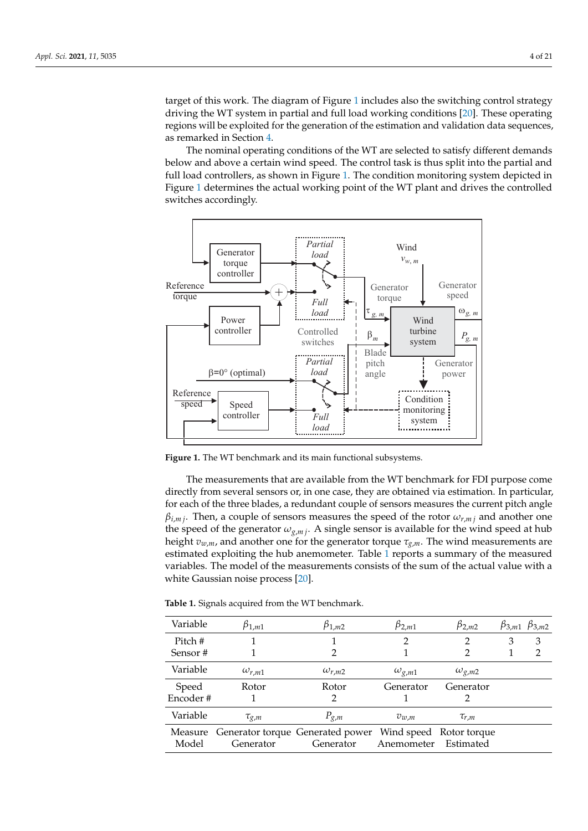target of this work. The diagram of Figure [1](#page-3-0) includes also the switching control strategy driving the WT system in partial and full load working conditions [\[20\]](#page-20-3). These operating regions will be exploited for the generation of the estimation and validation data sequences, as remarked in Section [4.](#page-10-0)

The nominal operating conditions of the WT are selected to satisfy different demands below and above a certain wind speed. The control task is thus split into the partial and full load controllers, as shown in Figure [1.](#page-3-0) The condition monitoring system depicted in Figure [1](#page-3-0) determines the actual working point of the WT plant and drives the controlled switches accordingly.

<span id="page-3-0"></span>

**Figure 1.** The WT benchmark and its main functional subsystems.

The measurements that are available from the WT benchmark for FDI purpose come directly from several sensors or, in one case, they are obtained via estimation. In particular, for each of the three blades, a redundant couple of sensors measures the current pitch angle  $\beta$ <sub>*i,m j*</sub>. Then, a couple of sensors measures the speed of the rotor  $\omega$ <sub>*r,m j*</sub> and another one the speed of the generator  $\omega_{g,m}$ . A single sensor is available for the wind speed at hub height  $v_{w,m}$ , and another one for the generator torque  $\tau_{\varrho,m}$ . The wind measurements are estimated exploiting the hub anemometer. Table [1](#page-3-1) reports a summary of the measured variables. The model of the measurements consists of the sum of the actual value with a white Gaussian noise process [\[20\]](#page-20-3).

<span id="page-3-1"></span>**Table 1.** Signals acquired from the WT benchmark.

| Variable | $\beta_{1,m1}$  | $\beta_{1,m2}$                                                   | $\beta_{2,m1}$  | $\beta_{2,m2}$  |   | $\beta_{3,m1}$ $\beta_{3,m2}$ |
|----------|-----------------|------------------------------------------------------------------|-----------------|-----------------|---|-------------------------------|
| Pitch #  |                 |                                                                  | 7               |                 | З | 3                             |
| Sensor#  |                 |                                                                  |                 |                 |   | 2                             |
| Variable | $\omega_{r,m1}$ | $\omega_{r,m2}$                                                  | $\omega_{g,m1}$ | $\omega_{g,m2}$ |   |                               |
| Speed    | Rotor           | Rotor                                                            | Generator       | Generator       |   |                               |
| Encoder# |                 | 2                                                                |                 |                 |   |                               |
| Variable | $\tau_{g,m}$    | $P_{g,m}$                                                        | $v_{w,m}$       | $\tau_{r,m}$    |   |                               |
|          |                 | Measure Generator torque Generated power Wind speed Rotor torque |                 |                 |   |                               |
| Model    | Generator       | Generator                                                        | Anemometer      | Estimated       |   |                               |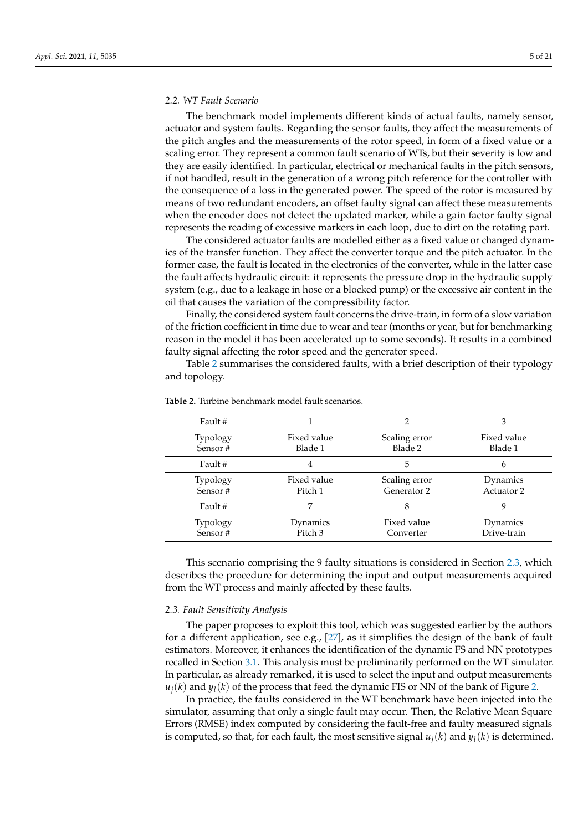<span id="page-4-0"></span>The benchmark model implements different kinds of actual faults, namely sensor, actuator and system faults. Regarding the sensor faults, they affect the measurements of the pitch angles and the measurements of the rotor speed, in form of a fixed value or a scaling error. They represent a common fault scenario of WTs, but their severity is low and they are easily identified. In particular, electrical or mechanical faults in the pitch sensors, if not handled, result in the generation of a wrong pitch reference for the controller with the consequence of a loss in the generated power. The speed of the rotor is measured by means of two redundant encoders, an offset faulty signal can affect these measurements when the encoder does not detect the updated marker, while a gain factor faulty signal represents the reading of excessive markers in each loop, due to dirt on the rotating part.

The considered actuator faults are modelled either as a fixed value or changed dynamics of the transfer function. They affect the converter torque and the pitch actuator. In the former case, the fault is located in the electronics of the converter, while in the latter case the fault affects hydraulic circuit: it represents the pressure drop in the hydraulic supply system (e.g., due to a leakage in hose or a blocked pump) or the excessive air content in the oil that causes the variation of the compressibility factor.

Finally, the considered system fault concerns the drive-train, in form of a slow variation of the friction coefficient in time due to wear and tear (months or year, but for benchmarking reason in the model it has been accelerated up to some seconds). It results in a combined faulty signal affecting the rotor speed and the generator speed.

Table [2](#page-4-2) summarises the considered faults, with a brief description of their typology and topology.

|                                |                              | З                       |  |
|--------------------------------|------------------------------|-------------------------|--|
| Fixed value<br>Blade 1         | Scaling error<br>Blade 2     | Fixed value<br>Blade 1  |  |
| 4                              | 5                            | 6                       |  |
| Fixed value<br>Pitch 1         | Scaling error<br>Generator 2 | Dynamics<br>Actuator 2  |  |
|                                | 8                            |                         |  |
| Dynamics<br>Pitch <sub>3</sub> | Fixed value<br>Converter     | Dynamics<br>Drive-train |  |
|                                |                              |                         |  |

<span id="page-4-2"></span>**Table 2.** Turbine benchmark model fault scenarios.

This scenario comprising the 9 faulty situations is considered in Section [2.3,](#page-4-1) which describes the procedure for determining the input and output measurements acquired from the WT process and mainly affected by these faults.

# <span id="page-4-1"></span>*2.3. Fault Sensitivity Analysis*

The paper proposes to exploit this tool, which was suggested earlier by the authors for a different application, see e.g., [\[27\]](#page-20-10), as it simplifies the design of the bank of fault estimators. Moreover, it enhances the identification of the dynamic FS and NN prototypes recalled in Section [3.1.](#page-7-0) This analysis must be preliminarily performed on the WT simulator. In particular, as already remarked, it is used to select the input and output measurements  $u_j(k)$  and  $y_l(k)$  of the process that feed the dynamic FIS or NN of the bank of Figure [2.](#page-6-1)

In practice, the faults considered in the WT benchmark have been injected into the simulator, assuming that only a single fault may occur. Then, the Relative Mean Square Errors (RMSE) index computed by considering the fault-free and faulty measured signals is computed, so that, for each fault, the most sensitive signal  $u_j(k)$  and  $y_l(k)$  is determined.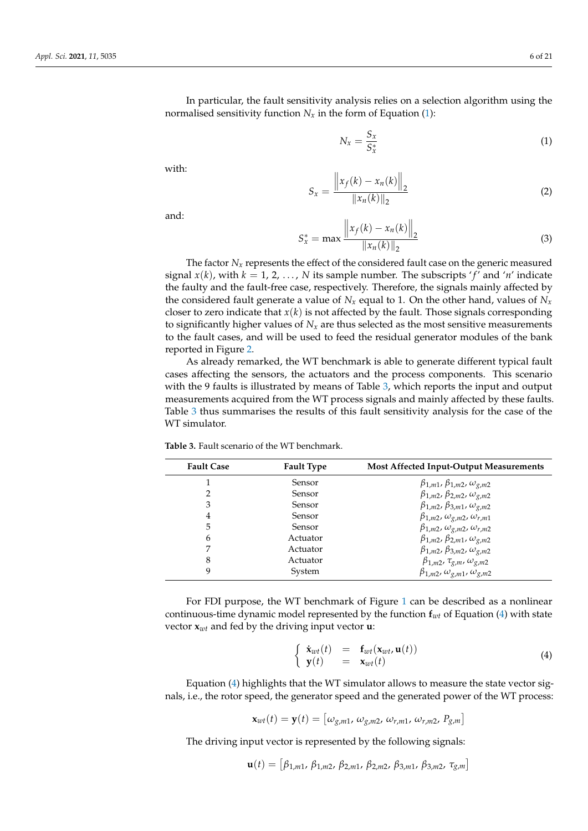In particular, the fault sensitivity analysis relies on a selection algorithm using the normalised sensitivity function  $N_x$  in the form of Equation [\(1\)](#page-5-0):

<span id="page-5-0"></span>
$$
N_x = \frac{S_x}{S_x^*} \tag{1}
$$

with:

$$
S_x = \frac{\left\|x_f(k) - x_n(k)\right\|_2}{\left\|x_n(k)\right\|_2} \tag{2}
$$

and:

$$
S_{x}^{*} = \max \frac{\left\|x_{f}(k) - x_{n}(k)\right\|_{2}}{\left\|x_{n}(k)\right\|_{2}}
$$
\n(3)

The factor  $N_x$  represents the effect of the considered fault case on the generic measured signal  $x(k)$ , with  $k = 1, 2, ..., N$  its sample number. The subscripts 'f' and 'n' indicate the faulty and the fault-free case, respectively. Therefore, the signals mainly affected by the considered fault generate a value of  $N_x$  equal to 1. On the other hand, values of  $N_x$ closer to zero indicate that  $x(k)$  is not affected by the fault. Those signals corresponding to significantly higher values of  $N_x$  are thus selected as the most sensitive measurements to the fault cases, and will be used to feed the residual generator modules of the bank reported in Figure [2.](#page-6-1)

As already remarked, the WT benchmark is able to generate different typical fault cases affecting the sensors, the actuators and the process components. This scenario with the 9 faults is illustrated by means of Table [3,](#page-5-1) which reports the input and output measurements acquired from the WT process signals and mainly affected by these faults. Table [3](#page-5-1) thus summarises the results of this fault sensitivity analysis for the case of the WT simulator.

| <b>Fault Case</b> | <b>Fault Type</b> | <b>Most Affected Input-Output Measurements</b>  |
|-------------------|-------------------|-------------------------------------------------|
|                   | Sensor            | $\beta_{1,m1}, \beta_{1,m2}, \omega_{g,m2}$     |
| 2                 | Sensor            | $\beta_{1,m2}, \beta_{2,m2}, \omega_{g,m2}$     |
| 3                 | Sensor            | $\beta_{1,m2}, \beta_{3,m1}, \omega_{g,m2}$     |
| 4                 | Sensor            | $\beta_{1,m2}, \omega_{g,m2}, \omega_{r,m1}$    |
| 5                 | Sensor            | $\beta_{1,m2}, \omega_{g,m2}, \omega_{r,m2}$    |
| 6                 | Actuator          | $\beta_{1,m2}, \beta_{2,m1}, \omega_{g,m2}$     |
| 7                 | Actuator          | $\beta_{1,m2}, \beta_{3,m2}, \omega_{g,m2}$     |
| 8                 | Actuator          | $\beta_{1,m2}$ , $\tau_{g,m}$ , $\omega_{g,m2}$ |
| 9                 | System            | $\beta_{1,m2}, \omega_{g,m1}, \omega_{g,m2}$    |

<span id="page-5-1"></span>**Table 3.** Fault scenario of the WT benchmark.

For FDI purpose, the WT benchmark of Figure [1](#page-3-0) can be described as a nonlinear continuous-time dynamic model represented by the function **f***wt* of Equation [\(4\)](#page-5-2) with state vector **x***wt* and fed by the driving input vector **u**:

<span id="page-5-2"></span>
$$
\begin{cases}\n\dot{\mathbf{x}}_{wt}(t) = \mathbf{f}_{wt}(\mathbf{x}_{wt}, \mathbf{u}(t)) \\
\mathbf{y}(t) = \mathbf{x}_{wt}(t)\n\end{cases}
$$
\n(4)

Equation [\(4\)](#page-5-2) highlights that the WT simulator allows to measure the state vector signals, i.e., the rotor speed, the generator speed and the generated power of the WT process:

$$
\mathbf{x}_{wt}(t) = \mathbf{y}(t) = \left[\omega_{g,m1}, \, \omega_{g,m2}, \, \omega_{r,m1}, \, \omega_{r,m2}, \, P_{g,m}\right]
$$

The driving input vector is represented by the following signals:

$$
\mathbf{u}(t) = [\beta_{1,m1}, \beta_{1,m2}, \beta_{2,m1}, \beta_{2,m2}, \beta_{3,m1}, \beta_{3,m2}, \tau_{g,m}]
$$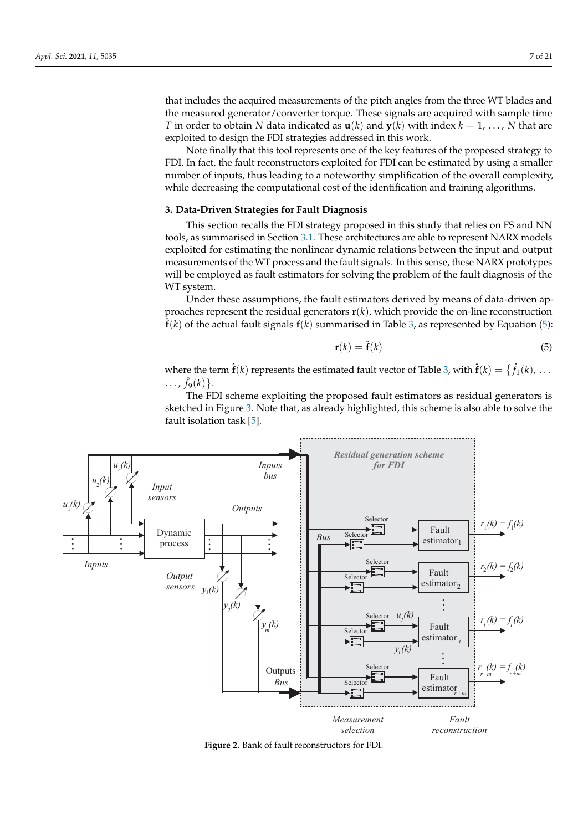that includes the acquired measurements of the pitch angles from the three WT blades and the measured generator/converter torque. These signals are acquired with sample time *T* in order to obtain *N* data indicated as  $\mathbf{u}(k)$  and  $\mathbf{v}(k)$  with index  $k = 1, \ldots, N$  that are exploited to design the FDI strategies addressed in this work.

Note finally that this tool represents one of the key features of the proposed strategy to FDI. In fact, the fault reconstructors exploited for FDI can be estimated by using a smaller number of inputs, thus leading to a noteworthy simplification of the overall complexity, while decreasing the computational cost of the identification and training algorithms.

## <span id="page-6-0"></span>**3. Data-Driven Strategies for Fault Diagnosis**

This section recalls the FDI strategy proposed in this study that relies on FS and NN tools, as summarised in Section [3.1.](#page-7-0) These architectures are able to represent NARX models exploited for estimating the nonlinear dynamic relations between the input and output measurements of the WT process and the fault signals. In this sense, these NARX prototypes will be employed as fault estimators for solving the problem of the fault diagnosis of the WT system.

Under these assumptions, the fault estimators derived by means of data-driven approaches represent the residual generators  $\mathbf{r}(k)$ , which provide the on-line reconstruction  $\hat{\bf f}(k)$  of the actual fault signals  ${\bf f}(k)$  summarised in Table [3,](#page-5-1) as represented by Equation [\(5\)](#page-6-2):

<span id="page-6-2"></span>
$$
\mathbf{r}(k) = \hat{\mathbf{f}}(k) \tag{5}
$$

where the term  $\hat{\mathbf{f}}(k)$  represents the estimated fault vector of Table [3,](#page-5-1) with  $\hat{\mathbf{f}}(k) = \{\hat{f}_1(k), \ldots\}$ ...,  $\hat{f}_9(k)$ .

The FDI scheme exploiting the proposed fault estimators as residual generators is sketched in Figure [3.](#page-8-0) Note that, as already highlighted, this scheme is also able to solve the fault isolation task [\[5\]](#page-19-4).

<span id="page-6-1"></span>

**Figure 2.** Bank of fault reconstructors for FDI.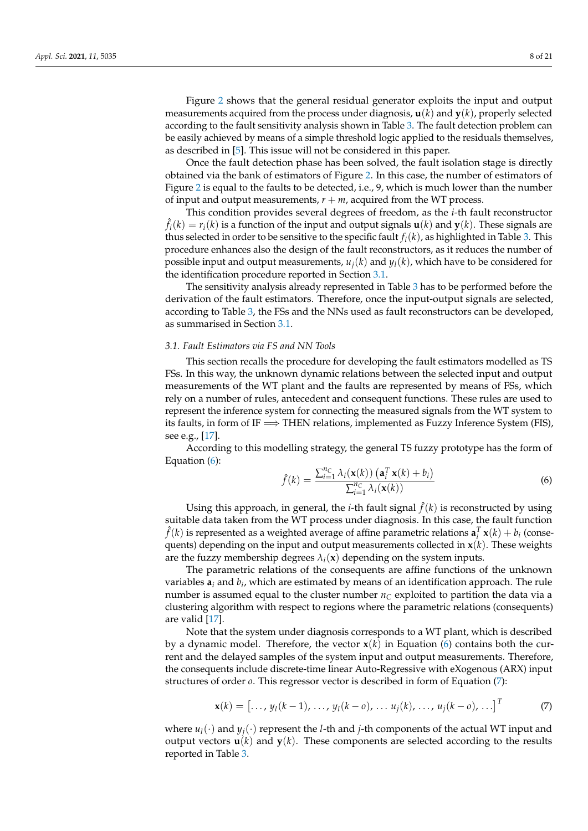Figure [2](#page-6-1) shows that the general residual generator exploits the input and output measurements acquired from the process under diagnosis,  $\mathbf{u}(k)$  and  $\mathbf{y}(k)$ , properly selected according to the fault sensitivity analysis shown in Table [3.](#page-5-1) The fault detection problem can be easily achieved by means of a simple threshold logic applied to the residuals themselves, as described in [\[5\]](#page-19-4). This issue will not be considered in this paper.

Once the fault detection phase has been solved, the fault isolation stage is directly obtained via the bank of estimators of Figure [2.](#page-6-1) In this case, the number of estimators of Figure [2](#page-6-1) is equal to the faults to be detected, i.e., 9, which is much lower than the number of input and output measurements,  $r + m$ , acquired from the WT process.

This condition provides several degrees of freedom, as the *i*-th fault reconstructor  $\hat{f}_i(k) = r_i(k)$  is a function of the input and output signals  $\mathbf{u}(k)$  and  $\mathbf{y}(k)$ . These signals are thus selected in order to be sensitive to the specific fault  $f_i(k)$ , as highlighted in Table [3.](#page-5-1) This procedure enhances also the design of the fault reconstructors, as it reduces the number of possible input and output measurements,  $u_j(k)$  and  $y_l(k)$ , which have to be considered for the identification procedure reported in Section [3.1.](#page-7-0)

The sensitivity analysis already represented in Table [3](#page-5-1) has to be performed before the derivation of the fault estimators. Therefore, once the input-output signals are selected, according to Table [3,](#page-5-1) the FSs and the NNs used as fault reconstructors can be developed, as summarised in Section [3.1.](#page-7-0)

## <span id="page-7-0"></span>*3.1. Fault Estimators via FS and NN Tools*

This section recalls the procedure for developing the fault estimators modelled as TS FSs. In this way, the unknown dynamic relations between the selected input and output measurements of the WT plant and the faults are represented by means of FSs, which rely on a number of rules, antecedent and consequent functions. These rules are used to represent the inference system for connecting the measured signals from the WT system to its faults, in form of IF  $\Longrightarrow$  THEN relations, implemented as Fuzzy Inference System (FIS), see e.g., [\[17\]](#page-20-0).

According to this modelling strategy, the general TS fuzzy prototype has the form of Equation [\(6\)](#page-7-1):

<span id="page-7-1"></span>
$$
\hat{f}(k) = \frac{\sum_{i=1}^{n_C} \lambda_i(\mathbf{x}(k)) \left(\mathbf{a}_i^T \mathbf{x}(k) + b_i\right)}{\sum_{i=1}^{n_C} \lambda_i(\mathbf{x}(k))}
$$
(6)

Using this approach, in general, the *i*-th fault signal  $\hat{f}(k)$  is reconstructed by using suitable data taken from the WT process under diagnosis. In this case, the fault function  $\hat{f}(k)$  is represented as a weighted average of affine parametric relations  $\mathbf{a}_i^T \mathbf{x}(k) + b_i$  (consequents) depending on the input and output measurements collected in  $\mathbf{x}(k)$ . These weights are the fuzzy membership degrees  $\lambda_i(\mathbf{x})$  depending on the system inputs.

The parametric relations of the consequents are affine functions of the unknown variables **a***<sup>i</sup>* and *b<sup>i</sup>* , which are estimated by means of an identification approach. The rule number is assumed equal to the cluster number  $n<sub>C</sub>$  exploited to partition the data via a clustering algorithm with respect to regions where the parametric relations (consequents) are valid [\[17\]](#page-20-0).

Note that the system under diagnosis corresponds to a WT plant, which is described by a dynamic model. Therefore, the vector  $\mathbf{x}(k)$  in Equation [\(6\)](#page-7-1) contains both the current and the delayed samples of the system input and output measurements. Therefore, the consequents include discrete-time linear Auto-Regressive with eXogenous (ARX) input structures of order *o*. This regressor vector is described in form of Equation [\(7\)](#page-7-2):

<span id="page-7-2"></span>
$$
\mathbf{x}(k) = [..., y_1(k-1), ..., y_1(k-o), ..., u_j(k), ..., u_j(k-o), ...]^T
$$
 (7)

where  $u_l(\cdot)$  and  $y_j(\cdot)$  represent the *l*-th and *j*-th components of the actual WT input and output vectors  $\mathbf{u}(k)$  and  $\mathbf{y}(k)$ . These components are selected according to the results reported in Table [3.](#page-5-1)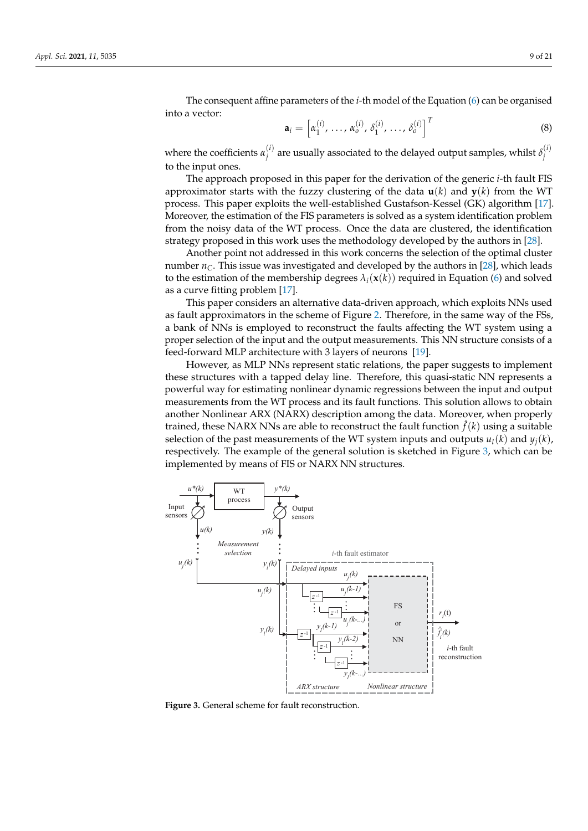The consequent affine parameters of the *i*-th model of the Equation [\(6\)](#page-7-1) can be organised into a vector:

$$
\mathbf{a}_{i} = \left[ \alpha_{1}^{(i)}, \ldots, \alpha_{o}^{(i)}, \delta_{1}^{(i)}, \ldots, \delta_{o}^{(i)} \right]^{T}
$$
 (8)

where the coefficients  $\alpha_i^{(i)}$  $j^{(i)}$  are usually associated to the delayed output samples, whilst  $\delta_j^{(i)}$ *j* to the input ones.

The approach proposed in this paper for the derivation of the generic *i*-th fault FIS approximator starts with the fuzzy clustering of the data  $\mathbf{u}(k)$  and  $\mathbf{y}(k)$  from the WT process. This paper exploits the well-established Gustafson-Kessel (GK) algorithm [\[17\]](#page-20-0). Moreover, the estimation of the FIS parameters is solved as a system identification problem from the noisy data of the WT process. Once the data are clustered, the identification strategy proposed in this work uses the methodology developed by the authors in [\[28\]](#page-20-11).

Another point not addressed in this work concerns the selection of the optimal cluster number  $n<sub>C</sub>$ . This issue was investigated and developed by the authors in [\[28\]](#page-20-11), which leads to the estimation of the membership degrees  $\lambda_i(\mathbf{x}(k))$  required in Equation [\(6\)](#page-7-1) and solved as a curve fitting problem [\[17\]](#page-20-0).

This paper considers an alternative data-driven approach, which exploits NNs used as fault approximators in the scheme of Figure [2.](#page-6-1) Therefore, in the same way of the FSs, a bank of NNs is employed to reconstruct the faults affecting the WT system using a proper selection of the input and the output measurements. This NN structure consists of a feed-forward MLP architecture with 3 layers of neurons [\[19\]](#page-20-2).

However, as MLP NNs represent static relations, the paper suggests to implement these structures with a tapped delay line. Therefore, this quasi-static NN represents a powerful way for estimating nonlinear dynamic regressions between the input and output measurements from the WT process and its fault functions. This solution allows to obtain another Nonlinear ARX (NARX) description among the data. Moreover, when properly trained, these NARX NNs are able to reconstruct the fault function  $\hat{f}(k)$  using a suitable selection of the past measurements of the WT system inputs and outputs  $u_l(k)$  and  $y_j(k)$ , respectively. The example of the general solution is sketched in Figure [3,](#page-8-0) which can be implemented by means of FIS or NARX NN structures.

<span id="page-8-0"></span>

**Figure 3.** General scheme for fault reconstruction.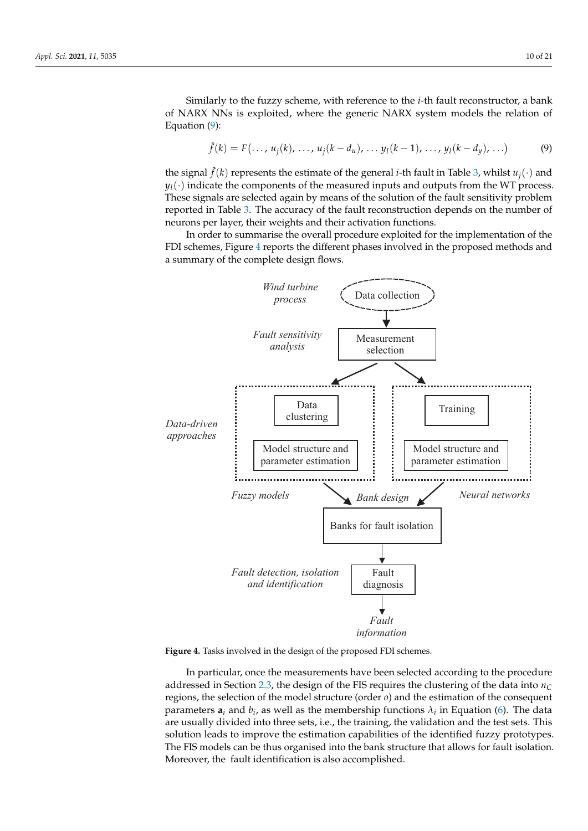Similarly to the fuzzy scheme, with reference to the *i*-th fault reconstructor, a bank of NARX NNs is exploited, where the generic NARX system models the relation of Equation [\(9\)](#page-9-0):

<span id="page-9-0"></span>
$$
\hat{f}(k) = F(\ldots, u_j(k), \ldots, u_j(k - d_u), \ldots y_l(k - 1), \ldots, y_l(k - d_y), \ldots)
$$
 (9)

the signal  $\hat{f}(k)$  represents the estimate of the general *i*-th fault in Table [3,](#page-5-1) whilst  $u_j(\cdot)$  and  $y_l(\cdot)$  indicate the components of the measured inputs and outputs from the WT process. These signals are selected again by means of the solution of the fault sensitivity problem reported in Table [3.](#page-5-1) The accuracy of the fault reconstruction depends on the number of neurons per layer, their weights and their activation functions.

In order to summarise the overall procedure exploited for the implementation of the FDI schemes, Figure [4](#page-9-1) reports the different phases involved in the proposed methods and a summary of the complete design flows.

<span id="page-9-1"></span>

**Figure 4.** Tasks involved in the design of the proposed FDI schemes.

In particular, once the measurements have been selected according to the procedure addressed in Section [2.3,](#page-4-1) the design of the FIS requires the clustering of the data into  $n_C$ regions, the selection of the model structure (order *o*) and the estimation of the consequent parameters  $a_i$  and  $b_i$ , as well as the membership functions  $\lambda_i$  in Equation [\(6\)](#page-7-1). The data are usually divided into three sets, i.e., the training, the validation and the test sets. This solution leads to improve the estimation capabilities of the identified fuzzy prototypes. The FIS models can be thus organised into the bank structure that allows for fault isolation. Moreover, the fault identification is also accomplished.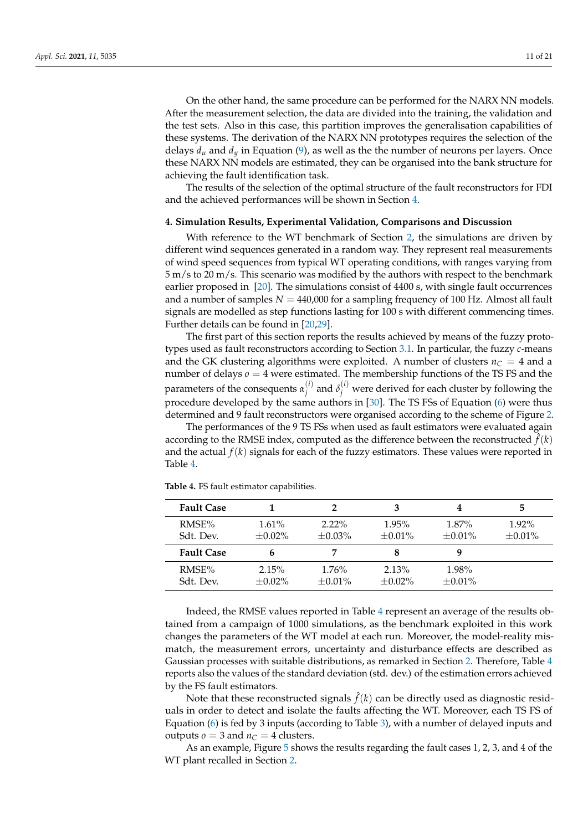On the other hand, the same procedure can be performed for the NARX NN models. After the measurement selection, the data are divided into the training, the validation and the test sets. Also in this case, this partition improves the generalisation capabilities of these systems. The derivation of the NARX NN prototypes requires the selection of the delays  $d<sub>u</sub>$  and  $d<sub>v</sub>$  in Equation [\(9\)](#page-9-0), as well as the the number of neurons per layers. Once these NARX NN models are estimated, they can be organised into the bank structure for achieving the fault identification task.

The results of the selection of the optimal structure of the fault reconstructors for FDI and the achieved performances will be shown in Section [4.](#page-10-0)

#### <span id="page-10-0"></span>**4. Simulation Results, Experimental Validation, Comparisons and Discussion**

With reference to the WT benchmark of Section [2,](#page-2-0) the simulations are driven by different wind sequences generated in a random way. They represent real measurements of wind speed sequences from typical WT operating conditions, with ranges varying from 5 m/s to 20 m/s. This scenario was modified by the authors with respect to the benchmark earlier proposed in [\[20\]](#page-20-3). The simulations consist of 4400 s, with single fault occurrences and a number of samples  $N = 440,000$  for a sampling frequency of 100 Hz. Almost all fault signals are modelled as step functions lasting for 100 s with different commencing times. Further details can be found in [\[20,](#page-20-3)[29\]](#page-20-12).

The first part of this section reports the results achieved by means of the fuzzy prototypes used as fault reconstructors according to Section [3.1.](#page-7-0) In particular, the fuzzy *c*-means and the GK clustering algorithms were exploited. A number of clusters  $n_C = 4$  and a number of delays  $\rho = 4$  were estimated. The membership functions of the TS FS and the parameters of the consequents  $\alpha_i^{(i)}$  $j_j^{(i)}$  and  $\delta_j^{(i)}$  were derived for each cluster by following the procedure developed by the same authors in [\[30\]](#page-20-13). The TS FSs of Equation [\(6\)](#page-7-1) were thus determined and 9 fault reconstructors were organised according to the scheme of Figure [2.](#page-6-1)

The performances of the 9 TS FSs when used as fault estimators were evaluated again according to the RMSE index, computed as the difference between the reconstructed  $\hat{f}(k)$ and the actual  $f(k)$  signals for each of the fuzzy estimators. These values were reported in Table [4.](#page-10-1)

| <b>Fault Case</b> |              |              |              |              | 5            |
|-------------------|--------------|--------------|--------------|--------------|--------------|
| RMSE%             | $1.61\%$     | $2.22\%$     | $1.95\%$     | $1.87\%$     | $1.92\%$     |
| Sdt. Dev.         | $\pm 0.02\%$ | $\pm 0.03\%$ | $\pm 0.01\%$ | $\pm 0.01\%$ | $\pm 0.01\%$ |
| <b>Fault Case</b> | h            |              | 8            |              |              |
| RMSE%             | 2.15%        | $1.76\%$     | 2.13%        | 1.98%        |              |
| Sdt. Dev.         | $+0.02\%$    | $+0.01\%$    | $+0.02\%$    | $+0.01\%$    |              |

<span id="page-10-1"></span>**Table 4.** FS fault estimator capabilities.

Indeed, the RMSE values reported in Table [4](#page-10-1) represent an average of the results obtained from a campaign of 1000 simulations, as the benchmark exploited in this work changes the parameters of the WT model at each run. Moreover, the model-reality mismatch, the measurement errors, uncertainty and disturbance effects are described as Gaussian processes with suitable distributions, as remarked in Section [2.](#page-2-0) Therefore, Table [4](#page-10-1) reports also the values of the standard deviation (std. dev.) of the estimation errors achieved by the FS fault estimators.

Note that these reconstructed signals  $\hat{f}(k)$  can be directly used as diagnostic residuals in order to detect and isolate the faults affecting the WT. Moreover, each TS FS of Equation [\(6\)](#page-7-1) is fed by 3 inputs (according to Table [3\)](#page-5-1), with a number of delayed inputs and outputs  $o = 3$  and  $n_C = 4$  clusters.

As an example, Figure [5](#page-11-0) shows the results regarding the fault cases 1, 2, 3, and 4 of the WT plant recalled in Section [2.](#page-2-0)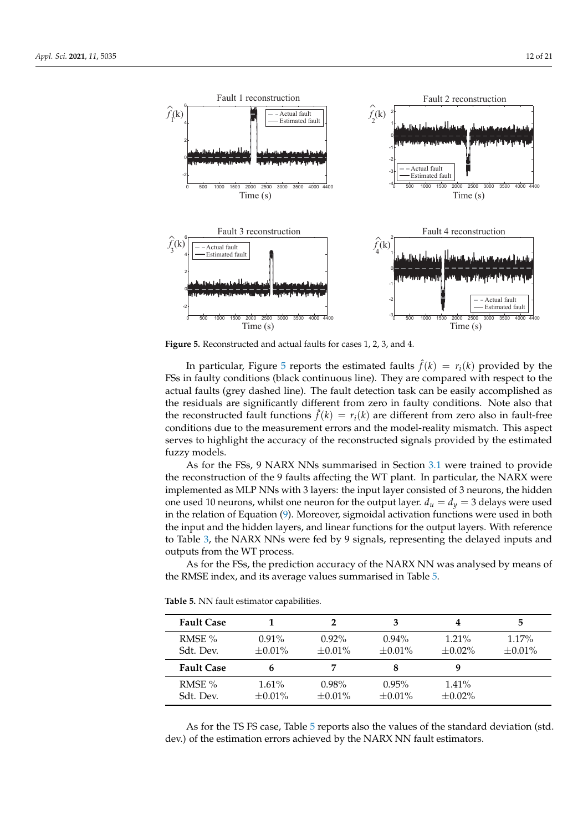<span id="page-11-0"></span>

**Figure 5.** Reconstructed and actual faults for cases 1, 2, 3, and 4.

In particular, Figure [5](#page-11-0) reports the estimated faults  $\hat{f}(k) = r_i(k)$  provided by the FSs in faulty conditions (black continuous line). They are compared with respect to the actual faults (grey dashed line). The fault detection task can be easily accomplished as the residuals are significantly different from zero in faulty conditions. Note also that the reconstructed fault functions  $\hat{f}(k) = r_i(k)$  are different from zero also in fault-free conditions due to the measurement errors and the model-reality mismatch. This aspect serves to highlight the accuracy of the reconstructed signals provided by the estimated fuzzy models.

As for the FSs, 9 NARX NNs summarised in Section [3.1](#page-7-0) were trained to provide the reconstruction of the 9 faults affecting the WT plant. In particular, the NARX were implemented as MLP NNs with 3 layers: the input layer consisted of 3 neurons, the hidden one used 10 neurons, whilst one neuron for the output layer.  $d_u = d_v = 3$  delays were used in the relation of Equation [\(9\)](#page-9-0). Moreover, sigmoidal activation functions were used in both the input and the hidden layers, and linear functions for the output layers. With reference to Table [3,](#page-5-1) the NARX NNs were fed by 9 signals, representing the delayed inputs and outputs from the WT process.

As for the FSs, the prediction accuracy of the NARX NN was analysed by means of the RMSE index, and its average values summarised in Table [5.](#page-11-1)

| <b>Fault Case</b> |              |              | 3            | 4            | 5            |
|-------------------|--------------|--------------|--------------|--------------|--------------|
| RMSE $%$          | $0.91\%$     | $0.92\%$     | $0.94\%$     | $1.21\%$     | $1.17\%$     |
| Sdt. Dev.         | $\pm 0.01\%$ | $\pm 0.01\%$ | $\pm 0.01\%$ | $\pm 0.02\%$ | $\pm 0.01\%$ |
| <b>Fault Case</b> |              |              | 8            | q            |              |
| RMSE $%$          | 1.61%        | $0.98\%$     | 0.95%        | $1.41\%$     |              |
| Sdt. Dev.         | $\pm 0.01\%$ | $\pm 0.01\%$ | $\pm 0.01\%$ | $\pm 0.02\%$ |              |

<span id="page-11-1"></span>**Table 5.** NN fault estimator capabilities.

As for the TS FS case, Table [5](#page-11-1) reports also the values of the standard deviation (std. dev.) of the estimation errors achieved by the NARX NN fault estimators.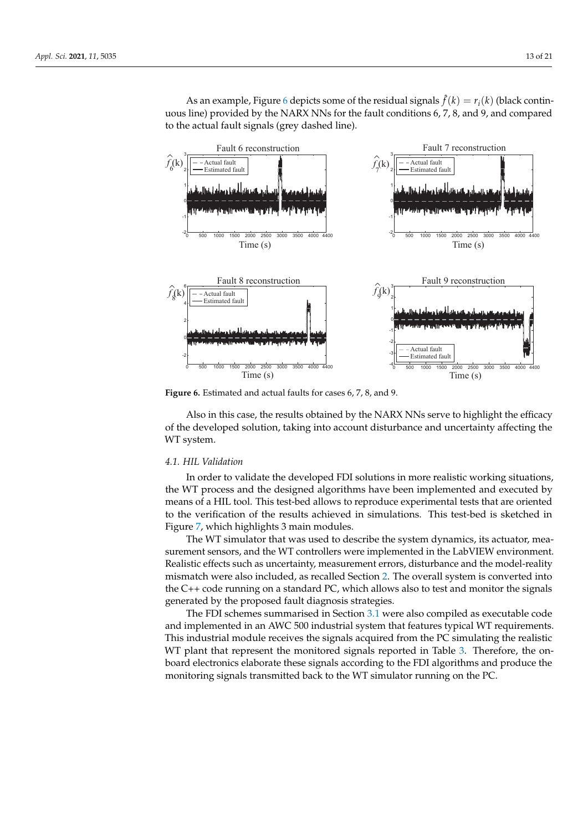As an example, Figure [6](#page-12-1) depicts some of the residual signals  $\hat{f}(k) = r_i(k)$  (black continuous line) provided by the NARX NNs for the fault conditions 6, 7, 8, and 9, and compared to the actual fault signals (grey dashed line).

<span id="page-12-1"></span>

**Figure 6.** Estimated and actual faults for cases 6, 7, 8, and 9.

Also in this case, the results obtained by the NARX NNs serve to highlight the efficacy of the developed solution, taking into account disturbance and uncertainty affecting the WT system.

### <span id="page-12-0"></span>*4.1. HIL Validation*

In order to validate the developed FDI solutions in more realistic working situations, the WT process and the designed algorithms have been implemented and executed by means of a HIL tool. This test-bed allows to reproduce experimental tests that are oriented to the verification of the results achieved in simulations. This test-bed is sketched in Figure [7,](#page-13-0) which highlights 3 main modules.

The WT simulator that was used to describe the system dynamics, its actuator, measurement sensors, and the WT controllers were implemented in the LabVIEW environment. Realistic effects such as uncertainty, measurement errors, disturbance and the model-reality mismatch were also included, as recalled Section [2.](#page-2-0) The overall system is converted into the C++ code running on a standard PC, which allows also to test and monitor the signals generated by the proposed fault diagnosis strategies.

The FDI schemes summarised in Section [3.1](#page-7-0) were also compiled as executable code and implemented in an AWC 500 industrial system that features typical WT requirements. This industrial module receives the signals acquired from the PC simulating the realistic WT plant that represent the monitored signals reported in Table [3.](#page-5-1) Therefore, the onboard electronics elaborate these signals according to the FDI algorithms and produce the monitoring signals transmitted back to the WT simulator running on the PC.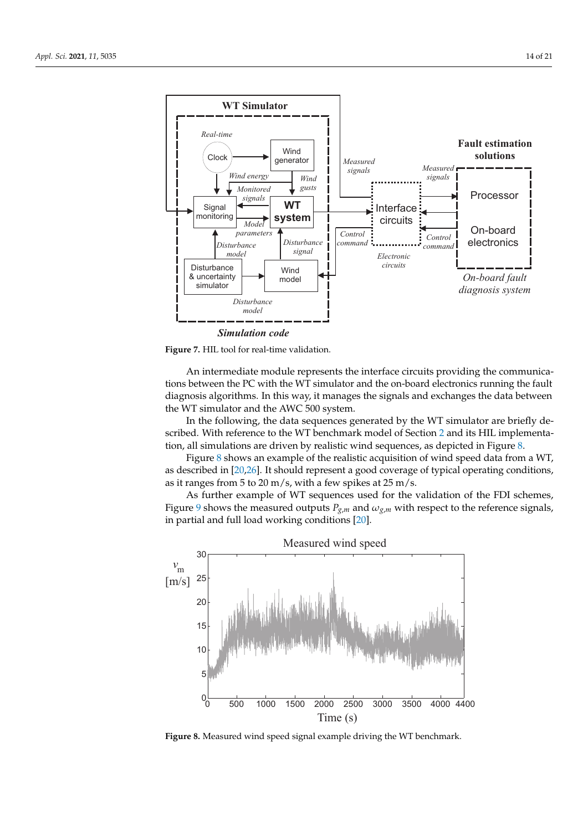<span id="page-13-0"></span>

**Figure 7.** HIL tool for real-time validation.

An intermediate module represents the interface circuits providing the communications between the PC with the WT simulator and the on-board electronics running the fault diagnosis algorithms. In this way, it manages the signals and exchanges the data between the WT simulator and the AWC 500 system.

In the following, the data sequences generated by the WT simulator are briefly described. With reference to the WT benchmark model of Section [2](#page-2-0) and its HIL implementation, all simulations are driven by realistic wind sequences, as depicted in Figure [8.](#page-13-1)

Figure [8](#page-13-1) shows an example of the realistic acquisition of wind speed data from a WT, as described in [\[20](#page-20-3)[,26\]](#page-20-9). It should represent a good coverage of typical operating conditions, as it ranges from 5 to 20 m/s, with a few spikes at 25 m/s.

As further example of WT sequences used for the validation of the FDI schemes, Figure [9](#page-14-0) shows the measured outputs  $P_{g,m}$  and  $\omega_{g,m}$  with respect to the reference signals, in partial and full load working conditions [\[20\]](#page-20-3).

<span id="page-13-1"></span>

**Figure 8.** Measured wind speed signal example driving the WT benchmark.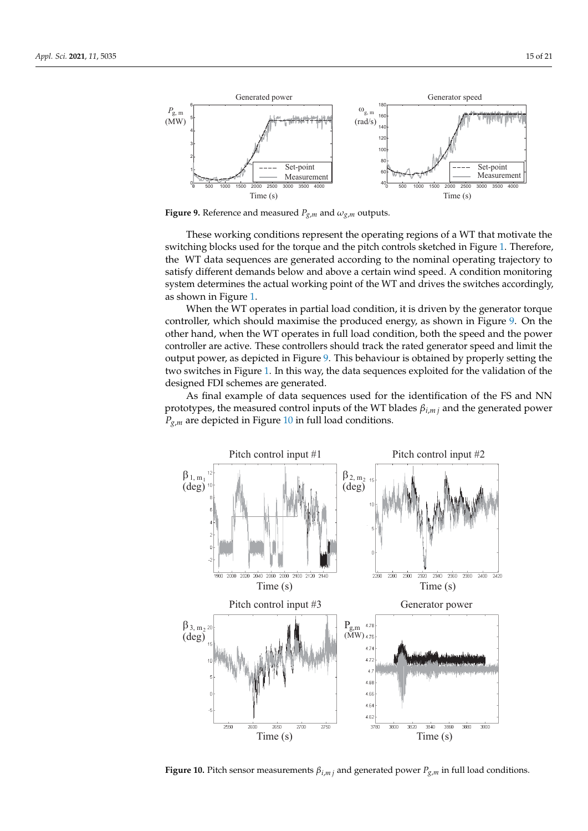<span id="page-14-0"></span>

**Figure 9.** Reference and measured  $P_{g,m}$  and  $\omega_{g,m}$  outputs.

These working conditions represent the operating regions of a WT that motivate the switching blocks used for the torque and the pitch controls sketched in Figure [1.](#page-3-0) Therefore, the WT data sequences are generated according to the nominal operating trajectory to satisfy different demands below and above a certain wind speed. A condition monitoring system determines the actual working point of the WT and drives the switches accordingly, as shown in Figure [1.](#page-3-0)

When the WT operates in partial load condition, it is driven by the generator torque controller, which should maximise the produced energy, as shown in Figure [9.](#page-14-0) On the other hand, when the WT operates in full load condition, both the speed and the power controller are active. These controllers should track the rated generator speed and limit the output power, as depicted in Figure [9.](#page-14-0) This behaviour is obtained by properly setting the two switches in Figure [1.](#page-3-0) In this way, the data sequences exploited for the validation of the designed FDI schemes are generated.

As final example of data sequences used for the identification of the FS and NN prototypes, the measured control inputs of the WT blades *βi*,*m j* and the generated power *Pg*,*<sup>m</sup>* are depicted in Figure [10](#page-14-1) in full load conditions.

<span id="page-14-1"></span>

**Figure 10.** Pitch sensor measurements  $\beta_{i,m}$  and generated power  $P_{g,m}$  in full load conditions.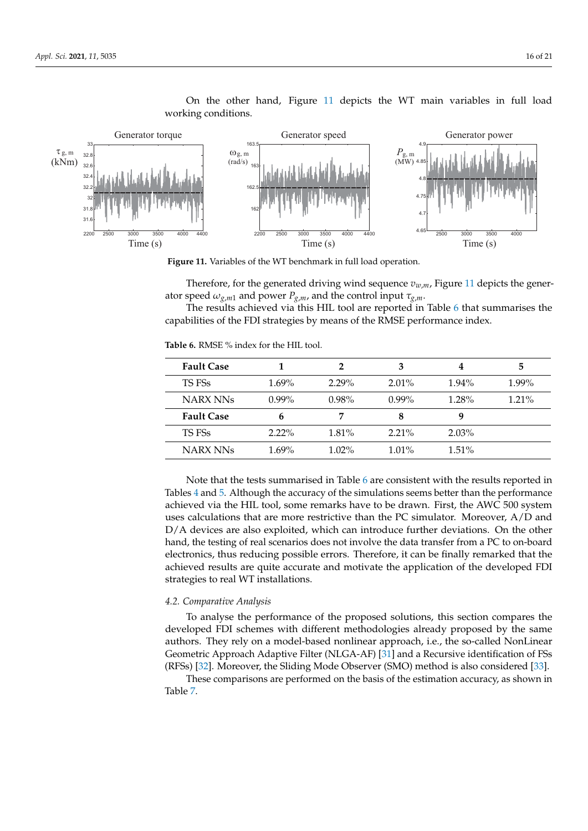<span id="page-15-0"></span>

On the other hand, Figure [11](#page-15-0) depicts the WT main variables in full load working conditions.

**Figure 11.** Variables of the WT benchmark in full load operation.

Therefore, for the generated driving wind sequence *vw*,*m*, Figure [11](#page-15-0) depicts the generator speed  $\omega_{g,m1}$  and power  $P_{g,m}$ , and the control input  $\tau_{g,m}$ .

The results achieved via this HIL tool are reported in Table [6](#page-15-1) that summarises the capabilities of the FDI strategies by means of the RMSE performance index.

<span id="page-15-1"></span>**Table 6.** RMSE % index for the HIL tool.

| <b>Fault Case</b> |          | 2        | 3        | 4        | 5        |
|-------------------|----------|----------|----------|----------|----------|
| TS FSs            | $1.69\%$ | $2.29\%$ | $2.01\%$ | $1.94\%$ | $1.99\%$ |
| <b>NARX NNs</b>   | $0.99\%$ | 0.98%    | $0.99\%$ | 1.28%    | $1.21\%$ |
| <b>Fault Case</b> | 6        | 7        | 8        | 9        |          |
| TS FSs            | $2.22\%$ | $1.81\%$ | $2.21\%$ | $2.03\%$ |          |
| NARX NNs          | $1.69\%$ | $1.02\%$ | $1.01\%$ | $1.51\%$ |          |

Note that the tests summarised in Table [6](#page-15-1) are consistent with the results reported in Tables [4](#page-10-1) and [5.](#page-11-1) Although the accuracy of the simulations seems better than the performance achieved via the HIL tool, some remarks have to be drawn. First, the AWC 500 system uses calculations that are more restrictive than the PC simulator. Moreover, A/D and D/A devices are also exploited, which can introduce further deviations. On the other hand, the testing of real scenarios does not involve the data transfer from a PC to on-board electronics, thus reducing possible errors. Therefore, it can be finally remarked that the achieved results are quite accurate and motivate the application of the developed FDI strategies to real WT installations.

## <span id="page-15-2"></span>*4.2. Comparative Analysis*

To analyse the performance of the proposed solutions, this section compares the developed FDI schemes with different methodologies already proposed by the same authors. They rely on a model-based nonlinear approach, i.e., the so-called NonLinear Geometric Approach Adaptive Filter (NLGA-AF) [\[31\]](#page-20-14) and a Recursive identification of FSs (RFSs) [\[32\]](#page-20-15). Moreover, the Sliding Mode Observer (SMO) method is also considered [\[33\]](#page-20-16).

These comparisons are performed on the basis of the estimation accuracy, as shown in Table [7.](#page-16-0)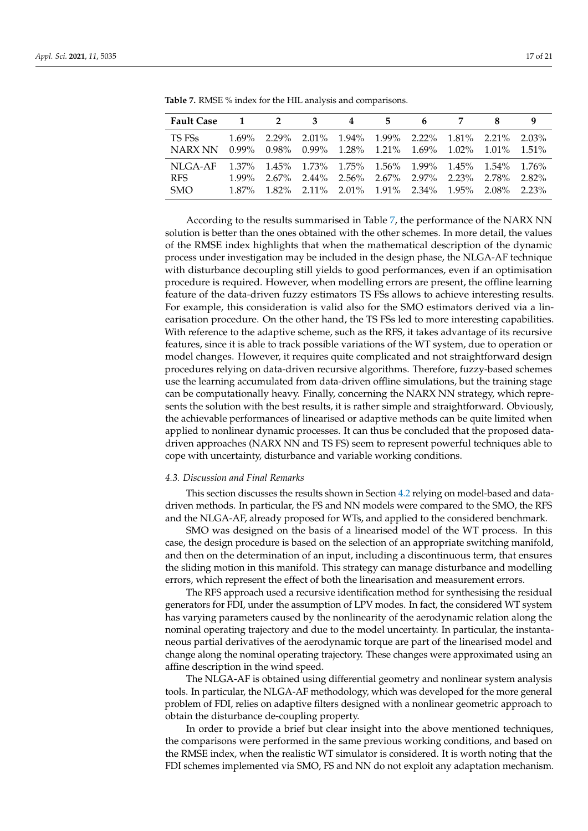| <b>Fault Case</b>             |          | $1 \quad 2$ | 3                                                                                                                                                                                               | 4 | 5 | $6\overline{6}$ | 7               |                            |
|-------------------------------|----------|-------------|-------------------------------------------------------------------------------------------------------------------------------------------------------------------------------------------------|---|---|-----------------|-----------------|----------------------------|
| TS FSs<br>NARX NN             |          |             | $1.69\%$ 2.29% 2.01% 1.94% 1.99% 2.22%<br>$0.99\%$ $0.98\%$ $0.99\%$ $1.28\%$ $1.21\%$ $1.69\%$ $1.02\%$ $1.01\%$                                                                               |   |   |                 | $1.81\%$ 2.21\% | 2.03%<br>$1.51\%$          |
| NLGA-AF<br>RFS.<br><b>SMO</b> | $1.99\%$ |             | $1.37\%$ $1.45\%$ $1.73\%$ $1.75\%$ $1.56\%$ $1.99\%$ $1.45\%$ $1.54\%$<br>2.67% 2.44% 2.56% 2.67% 2.97% 2.23% 2.78%<br>$1.87\%$ $1.82\%$ $2.11\%$ $2.01\%$ $1.91\%$ $2.34\%$ $1.95\%$ $2.08\%$ |   |   |                 |                 | $1.76\%$<br>2.82%<br>2.23% |

<span id="page-16-0"></span>**Table 7.** RMSE % index for the HIL analysis and comparisons.

According to the results summarised in Table [7,](#page-16-0) the performance of the NARX NN solution is better than the ones obtained with the other schemes. In more detail, the values of the RMSE index highlights that when the mathematical description of the dynamic process under investigation may be included in the design phase, the NLGA-AF technique with disturbance decoupling still yields to good performances, even if an optimisation procedure is required. However, when modelling errors are present, the offline learning feature of the data-driven fuzzy estimators TS FSs allows to achieve interesting results. For example, this consideration is valid also for the SMO estimators derived via a linearisation procedure. On the other hand, the TS FSs led to more interesting capabilities. With reference to the adaptive scheme, such as the RFS, it takes advantage of its recursive features, since it is able to track possible variations of the WT system, due to operation or model changes. However, it requires quite complicated and not straightforward design procedures relying on data-driven recursive algorithms. Therefore, fuzzy-based schemes use the learning accumulated from data-driven offline simulations, but the training stage can be computationally heavy. Finally, concerning the NARX NN strategy, which represents the solution with the best results, it is rather simple and straightforward. Obviously, the achievable performances of linearised or adaptive methods can be quite limited when applied to nonlinear dynamic processes. It can thus be concluded that the proposed datadriven approaches (NARX NN and TS FS) seem to represent powerful techniques able to cope with uncertainty, disturbance and variable working conditions.

#### *4.3. Discussion and Final Remarks*

This section discusses the results shown in Section [4.2](#page-15-2) relying on model-based and datadriven methods. In particular, the FS and NN models were compared to the SMO, the RFS and the NLGA-AF, already proposed for WTs, and applied to the considered benchmark.

SMO was designed on the basis of a linearised model of the WT process. In this case, the design procedure is based on the selection of an appropriate switching manifold, and then on the determination of an input, including a discontinuous term, that ensures the sliding motion in this manifold. This strategy can manage disturbance and modelling errors, which represent the effect of both the linearisation and measurement errors.

The RFS approach used a recursive identification method for synthesising the residual generators for FDI, under the assumption of LPV modes. In fact, the considered WT system has varying parameters caused by the nonlinearity of the aerodynamic relation along the nominal operating trajectory and due to the model uncertainty. In particular, the instantaneous partial derivatives of the aerodynamic torque are part of the linearised model and change along the nominal operating trajectory. These changes were approximated using an affine description in the wind speed.

The NLGA-AF is obtained using differential geometry and nonlinear system analysis tools. In particular, the NLGA-AF methodology, which was developed for the more general problem of FDI, relies on adaptive filters designed with a nonlinear geometric approach to obtain the disturbance de-coupling property.

In order to provide a brief but clear insight into the above mentioned techniques, the comparisons were performed in the same previous working conditions, and based on the RMSE index, when the realistic WT simulator is considered. It is worth noting that the FDI schemes implemented via SMO, FS and NN do not exploit any adaptation mechanism.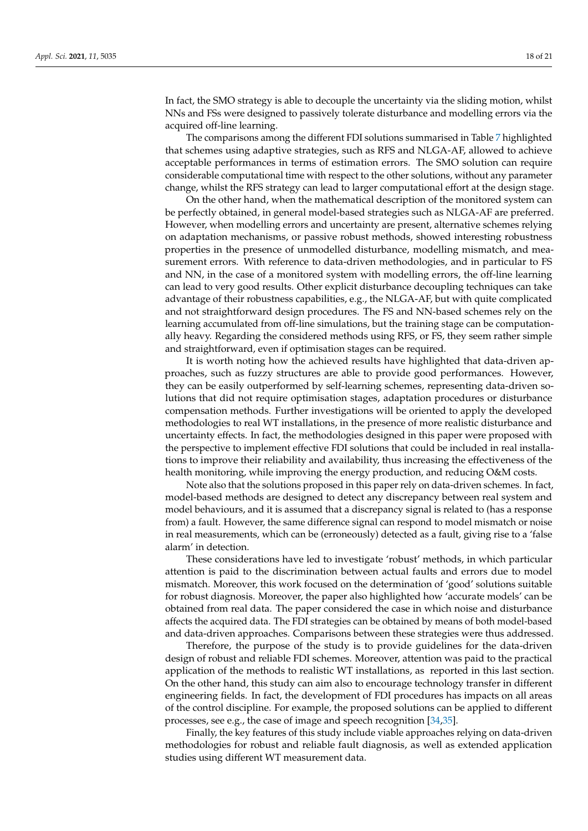In fact, the SMO strategy is able to decouple the uncertainty via the sliding motion, whilst NNs and FSs were designed to passively tolerate disturbance and modelling errors via the acquired off-line learning.

The comparisons among the different FDI solutions summarised in Table [7](#page-16-0) highlighted that schemes using adaptive strategies, such as RFS and NLGA-AF, allowed to achieve acceptable performances in terms of estimation errors. The SMO solution can require considerable computational time with respect to the other solutions, without any parameter change, whilst the RFS strategy can lead to larger computational effort at the design stage.

On the other hand, when the mathematical description of the monitored system can be perfectly obtained, in general model-based strategies such as NLGA-AF are preferred. However, when modelling errors and uncertainty are present, alternative schemes relying on adaptation mechanisms, or passive robust methods, showed interesting robustness properties in the presence of unmodelled disturbance, modelling mismatch, and measurement errors. With reference to data-driven methodologies, and in particular to FS and NN, in the case of a monitored system with modelling errors, the off-line learning can lead to very good results. Other explicit disturbance decoupling techniques can take advantage of their robustness capabilities, e.g., the NLGA-AF, but with quite complicated and not straightforward design procedures. The FS and NN-based schemes rely on the learning accumulated from off-line simulations, but the training stage can be computationally heavy. Regarding the considered methods using RFS, or FS, they seem rather simple and straightforward, even if optimisation stages can be required.

It is worth noting how the achieved results have highlighted that data-driven approaches, such as fuzzy structures are able to provide good performances. However, they can be easily outperformed by self-learning schemes, representing data-driven solutions that did not require optimisation stages, adaptation procedures or disturbance compensation methods. Further investigations will be oriented to apply the developed methodologies to real WT installations, in the presence of more realistic disturbance and uncertainty effects. In fact, the methodologies designed in this paper were proposed with the perspective to implement effective FDI solutions that could be included in real installations to improve their reliability and availability, thus increasing the effectiveness of the health monitoring, while improving the energy production, and reducing O&M costs.

Note also that the solutions proposed in this paper rely on data-driven schemes. In fact, model-based methods are designed to detect any discrepancy between real system and model behaviours, and it is assumed that a discrepancy signal is related to (has a response from) a fault. However, the same difference signal can respond to model mismatch or noise in real measurements, which can be (erroneously) detected as a fault, giving rise to a 'false alarm' in detection.

These considerations have led to investigate 'robust' methods, in which particular attention is paid to the discrimination between actual faults and errors due to model mismatch. Moreover, this work focused on the determination of 'good' solutions suitable for robust diagnosis. Moreover, the paper also highlighted how 'accurate models' can be obtained from real data. The paper considered the case in which noise and disturbance affects the acquired data. The FDI strategies can be obtained by means of both model-based and data-driven approaches. Comparisons between these strategies were thus addressed.

Therefore, the purpose of the study is to provide guidelines for the data-driven design of robust and reliable FDI schemes. Moreover, attention was paid to the practical application of the methods to realistic WT installations, as reported in this last section. On the other hand, this study can aim also to encourage technology transfer in different engineering fields. In fact, the development of FDI procedures has impacts on all areas of the control discipline. For example, the proposed solutions can be applied to different processes, see e.g., the case of image and speech recognition [\[34](#page-20-17)[,35\]](#page-20-18).

Finally, the key features of this study include viable approaches relying on data-driven methodologies for robust and reliable fault diagnosis, as well as extended application studies using different WT measurement data.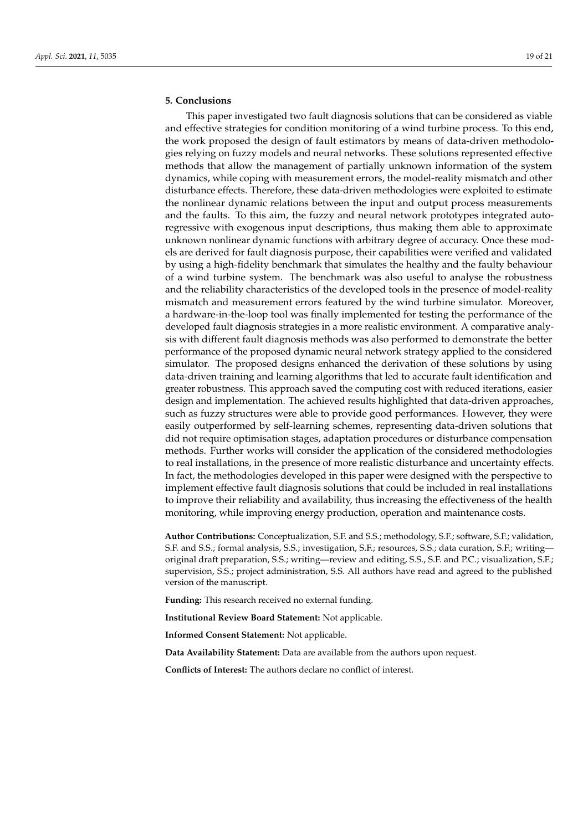# <span id="page-18-0"></span>**5. Conclusions**

This paper investigated two fault diagnosis solutions that can be considered as viable and effective strategies for condition monitoring of a wind turbine process. To this end, the work proposed the design of fault estimators by means of data-driven methodologies relying on fuzzy models and neural networks. These solutions represented effective methods that allow the management of partially unknown information of the system dynamics, while coping with measurement errors, the model-reality mismatch and other disturbance effects. Therefore, these data-driven methodologies were exploited to estimate the nonlinear dynamic relations between the input and output process measurements and the faults. To this aim, the fuzzy and neural network prototypes integrated autoregressive with exogenous input descriptions, thus making them able to approximate unknown nonlinear dynamic functions with arbitrary degree of accuracy. Once these models are derived for fault diagnosis purpose, their capabilities were verified and validated by using a high-fidelity benchmark that simulates the healthy and the faulty behaviour of a wind turbine system. The benchmark was also useful to analyse the robustness and the reliability characteristics of the developed tools in the presence of model-reality mismatch and measurement errors featured by the wind turbine simulator. Moreover, a hardware-in-the-loop tool was finally implemented for testing the performance of the developed fault diagnosis strategies in a more realistic environment. A comparative analysis with different fault diagnosis methods was also performed to demonstrate the better performance of the proposed dynamic neural network strategy applied to the considered simulator. The proposed designs enhanced the derivation of these solutions by using data-driven training and learning algorithms that led to accurate fault identification and greater robustness. This approach saved the computing cost with reduced iterations, easier design and implementation. The achieved results highlighted that data-driven approaches, such as fuzzy structures were able to provide good performances. However, they were easily outperformed by self-learning schemes, representing data-driven solutions that did not require optimisation stages, adaptation procedures or disturbance compensation methods. Further works will consider the application of the considered methodologies to real installations, in the presence of more realistic disturbance and uncertainty effects. In fact, the methodologies developed in this paper were designed with the perspective to implement effective fault diagnosis solutions that could be included in real installations to improve their reliability and availability, thus increasing the effectiveness of the health monitoring, while improving energy production, operation and maintenance costs.

**Author Contributions:** Conceptualization, S.F. and S.S.; methodology, S.F.; software, S.F.; validation, S.F. and S.S.; formal analysis, S.S.; investigation, S.F.; resources, S.S.; data curation, S.F.; writing original draft preparation, S.S.; writing—review and editing, S.S., S.F. and P.C.; visualization, S.F.; supervision, S.S.; project administration, S.S. All authors have read and agreed to the published version of the manuscript.

**Funding:** This research received no external funding.

**Institutional Review Board Statement:** Not applicable.

**Informed Consent Statement:** Not applicable.

**Data Availability Statement:** Data are available from the authors upon request.

**Conflicts of Interest:** The authors declare no conflict of interest.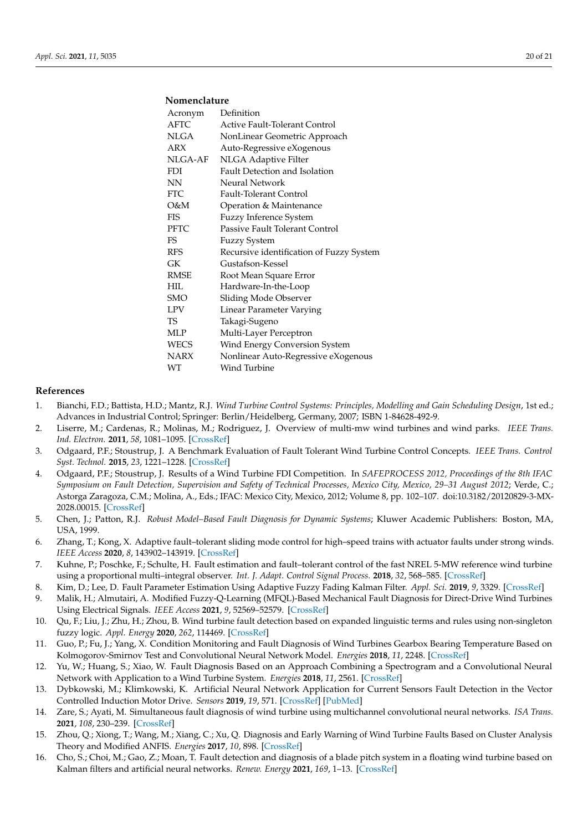## **Nomenclature**

| Acronym     | Definition                               |
|-------------|------------------------------------------|
| <b>AFTC</b> | Active Fault-Tolerant Control            |
| <b>NLGA</b> | NonLinear Geometric Approach             |
| ARX         | Auto-Regressive eXogenous                |
| NLGA-AF     | NLGA Adaptive Filter                     |
| <b>FDI</b>  | Fault Detection and Isolation            |
| <b>NN</b>   | Neural Network                           |
| <b>FTC</b>  | <b>Fault-Tolerant Control</b>            |
| O&M         | Operation & Maintenance                  |
| FIS         | Fuzzy Inference System                   |
| <b>PFTC</b> | <b>Passive Fault Tolerant Control</b>    |
| <b>FS</b>   | Fuzzy System                             |
| <b>RFS</b>  | Recursive identification of Fuzzy System |
| GK          | Gustafson-Kessel                         |
| <b>RMSE</b> | Root Mean Square Error                   |
| HIL.        | Hardware-In-the-Loop                     |
| <b>SMO</b>  | Sliding Mode Observer                    |
| <b>LPV</b>  | Linear Parameter Varying                 |
| TS          | Takagi-Sugeno                            |
| MLP         | Multi-Layer Perceptron                   |
| WECS        | Wind Energy Conversion System            |
| <b>NARX</b> | Nonlinear Auto-Regressive eXogenous      |
| WT          | Wind Turbine                             |

#### **References**

- <span id="page-19-0"></span>1. Bianchi, F.D.; Battista, H.D.; Mantz, R.J. *Wind Turbine Control Systems: Principles, Modelling and Gain Scheduling Design*, 1st ed.; Advances in Industrial Control; Springer: Berlin/Heidelberg, Germany, 2007; ISBN 1-84628-492-9.
- <span id="page-19-1"></span>2. Liserre, M.; Cardenas, R.; Molinas, M.; Rodriguez, J. Overview of multi-mw wind turbines and wind parks. *IEEE Trans. Ind. Electron.* **2011**, *58*, 1081–1095. [\[CrossRef\]](http://doi.org/10.1109/TIE.2010.2103910)
- <span id="page-19-2"></span>3. Odgaard, P.F.; Stoustrup, J. A Benchmark Evaluation of Fault Tolerant Wind Turbine Control Concepts. *IEEE Trans. Control Syst. Technol.* **2015**, *23*, 1221–1228. [\[CrossRef\]](http://dx.doi.org/10.1109/TCST.2014.2361291)
- <span id="page-19-3"></span>4. Odgaard, P.F.; Stoustrup, J. Results of a Wind Turbine FDI Competition. In *SAFEPROCESS 2012, Proceedings of the 8th IFAC Symposium on Fault Detection, Supervision and Safety of Technical Processes, Mexico City, Mexico, 29–31 August 2012*; Verde, C.; Astorga Zaragoza, C.M.; Molina, A., Eds.; IFAC: Mexico City, Mexico, 2012; Volume 8, pp. 102–107. doi:10.3182/20120829-3-MX-2028.00015. [\[CrossRef\]](http://dx.doi.org/10.3182/20120829-3-MX-2028.00015)
- <span id="page-19-4"></span>5. Chen, J.; Patton, R.J. *Robust Model–Based Fault Diagnosis for Dynamic Systems*; Kluwer Academic Publishers: Boston, MA, USA, 1999.
- <span id="page-19-5"></span>6. Zhang, T.; Kong, X. Adaptive fault–tolerant sliding mode control for high–speed trains with actuator faults under strong winds. *IEEE Access* **2020**, *8*, 143902–143919. [\[CrossRef\]](http://dx.doi.org/10.1109/ACCESS.2020.3014199)
- <span id="page-19-6"></span>7. Kuhne, P.; Poschke, F.; Schulte, H. Fault estimation and fault–tolerant control of the fast NREL 5-MW reference wind turbine using a proportional multi–integral observer. *Int. J. Adapt. Control Signal Process.* **2018**, *32*, 568–585. [\[CrossRef\]](http://dx.doi.org/10.1002/acs.2800)
- <span id="page-19-7"></span>8. Kim, D.; Lee, D. Fault Parameter Estimation Using Adaptive Fuzzy Fading Kalman Filter. *Appl. Sci.* **2019**, *9*, 3329. [\[CrossRef\]](http://dx.doi.org/10.3390/app9163329)
- <span id="page-19-8"></span>9. Malik, H.; Almutairi, A. Modified Fuzzy-Q-Learning (MFQL)-Based Mechanical Fault Diagnosis for Direct-Drive Wind Turbines Using Electrical Signals. *IEEE Access* **2021**, *9*, 52569–52579. [\[CrossRef\]](http://dx.doi.org/10.1109/ACCESS.2021.3070483)
- <span id="page-19-9"></span>10. Qu, F.; Liu, J.; Zhu, H.; Zhou, B. Wind turbine fault detection based on expanded linguistic terms and rules using non-singleton fuzzy logic. *Appl. Energy* **2020**, *262*, 114469. [\[CrossRef\]](http://dx.doi.org/10.1016/j.apenergy.2019.114469)
- <span id="page-19-10"></span>11. Guo, P.; Fu, J.; Yang, X. Condition Monitoring and Fault Diagnosis of Wind Turbines Gearbox Bearing Temperature Based on Kolmogorov-Smirnov Test and Convolutional Neural Network Model. *Energies* **2018**, *11*, 2248. [\[CrossRef\]](http://dx.doi.org/10.3390/en11092248)
- 12. Yu, W.; Huang, S.; Xiao, W. Fault Diagnosis Based on an Approach Combining a Spectrogram and a Convolutional Neural Network with Application to a Wind Turbine System. *Energies* **2018**, *11*, 2561. [\[CrossRef\]](http://dx.doi.org/10.3390/en11102561)
- 13. Dybkowski, M.; Klimkowski, K. Artificial Neural Network Application for Current Sensors Fault Detection in the Vector Controlled Induction Motor Drive. *Sensors* **2019**, *19*, 571. [\[CrossRef\]](http://dx.doi.org/10.3390/s19030571) [\[PubMed\]](http://www.ncbi.nlm.nih.gov/pubmed/30700063)
- <span id="page-19-11"></span>14. Zare, S.; Ayati, M. Simultaneous fault diagnosis of wind turbine using multichannel convolutional neural networks. *ISA Trans.* **2021**, *108*, 230–239. [\[CrossRef\]](http://dx.doi.org/10.1016/j.isatra.2020.08.021)
- <span id="page-19-12"></span>15. Zhou, Q.; Xiong, T.; Wang, M.; Xiang, C.; Xu, Q. Diagnosis and Early Warning of Wind Turbine Faults Based on Cluster Analysis Theory and Modified ANFIS. *Energies* **2017**, *10*, 898. [\[CrossRef\]](http://dx.doi.org/10.3390/en10070898)
- <span id="page-19-13"></span>16. Cho, S.; Choi, M.; Gao, Z.; Moan, T. Fault detection and diagnosis of a blade pitch system in a floating wind turbine based on Kalman filters and artificial neural networks. *Renew. Energy* **2021**, *169*, 1–13. [\[CrossRef\]](http://dx.doi.org/10.1016/j.renene.2020.12.116)